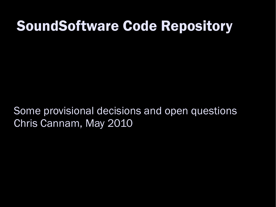#### SoundSoftware Code Repository

Some provisional decisions and open questions Chris Cannam, May 2010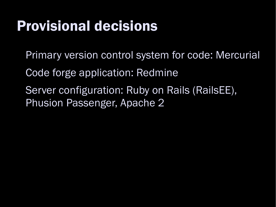### Provisional decisions

- Primary version control system for code: Mercurial
- Code forge application: Redmine
- Server configuration: Ruby on Rails (RailsEE), Phusion Passenger, Apache 2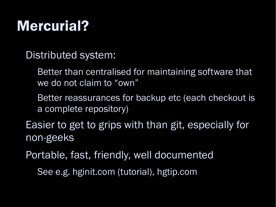## Mercurial?

Distributed system:

Better than centralised for maintaining software that we do not claim to "own"

Better reassurances for backup etc (each checkout is a complete repository)

 Easier to get to grips with than git, especially for non-geeks

Portable, fast, friendly, well documented

See e.g. hginit.com (tutorial), hgtip.com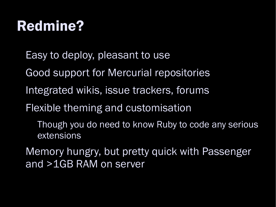## Redmine?

Easy to deploy, pleasant to use

Good support for Mercurial repositories

- Integrated wikis, issue trackers, forums
- Flexible theming and customisation

Though you do need to know Ruby to code any serious extensions

 Memory hungry, but pretty quick with Passenger and >1GB RAM on server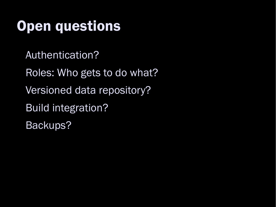### Open questions

Authentication?

Roles: Who gets to do what?

Versioned data repository?

Build integration?

Backups?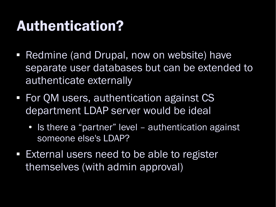#### Authentication?

- Redmine (and Drupal, now on website) have separate user databases but can be extended to authenticate externally
- For QM users, authentication against CS department LDAP server would be ideal
	- Is there a "partner" level authentication against someone else's LDAP?
- **External users need to be able to register** themselves (with admin approval)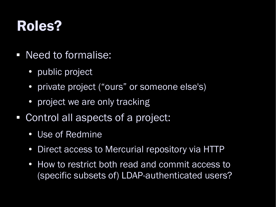### Roles?

- Need to formalise:
	- public project
	- private project ("ours" or someone else's)
	- project we are only tracking
- Control all aspects of a project:
	- Use of Redmine
	- Direct access to Mercurial repository via HTTP
	- How to restrict both read and commit access to (specific subsets of) LDAP-authenticated users?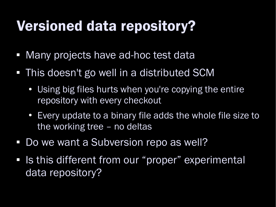## Versioned data repository?

- Many projects have ad-hoc test data
- This doesn't go well in a distributed SCM
	- Using big files hurts when you're copying the entire repository with every checkout
	- Every update to a binary file adds the whole file size to the working tree – no deltas
- **Do we want a Subversion repo as well?**
- Is this different from our "proper" experimental data repository?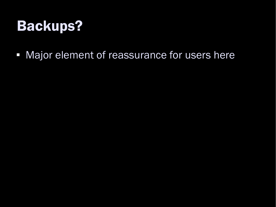### Backups?

**- Major element of reassurance for users here**